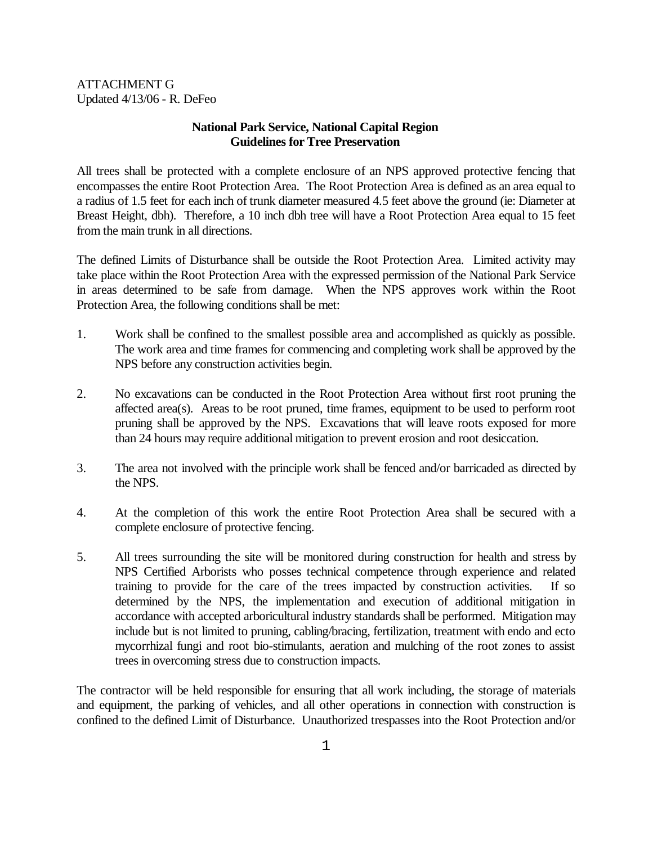ATTACHMENT G Updated 4/13/06 - R. DeFeo

## **National Park Service, National Capital Region Guidelines for Tree Preservation**

All trees shall be protected with a complete enclosure of an NPS approved protective fencing that encompasses the entire Root Protection Area. The Root Protection Area is defined as an area equal to a radius of 1.5 feet for each inch of trunk diameter measured 4.5 feet above the ground (ie: Diameter at Breast Height, dbh). Therefore, a 10 inch dbh tree will have a Root Protection Area equal to 15 feet from the main trunk in all directions.

The defined Limits of Disturbance shall be outside the Root Protection Area. Limited activity may take place within the Root Protection Area with the expressed permission of the National Park Service in areas determined to be safe from damage. When the NPS approves work within the Root Protection Area, the following conditions shall be met:

- 1. Work shall be confined to the smallest possible area and accomplished as quickly as possible. The work area and time frames for commencing and completing work shall be approved by the NPS before any construction activities begin.
- 2. No excavations can be conducted in the Root Protection Area without first root pruning the affected area(s). Areas to be root pruned, time frames, equipment to be used to perform root pruning shall be approved by the NPS. Excavations that will leave roots exposed for more than 24 hours may require additional mitigation to prevent erosion and root desiccation.
- 3. The area not involved with the principle work shall be fenced and/or barricaded as directed by the NPS.
- 4. At the completion of this work the entire Root Protection Area shall be secured with a complete enclosure of protective fencing.
- 5. All trees surrounding the site will be monitored during construction for health and stress by NPS Certified Arborists who posses technical competence through experience and related training to provide for the care of the trees impacted by construction activities. If so determined by the NPS, the implementation and execution of additional mitigation in accordance with accepted arboricultural industry standards shall be performed. Mitigation may include but is not limited to pruning, cabling/bracing, fertilization, treatment with endo and ecto mycorrhizal fungi and root bio-stimulants, aeration and mulching of the root zones to assist trees in overcoming stress due to construction impacts.

The contractor will be held responsible for ensuring that all work including, the storage of materials and equipment, the parking of vehicles, and all other operations in connection with construction is confined to the defined Limit of Disturbance. Unauthorized trespasses into the Root Protection and/or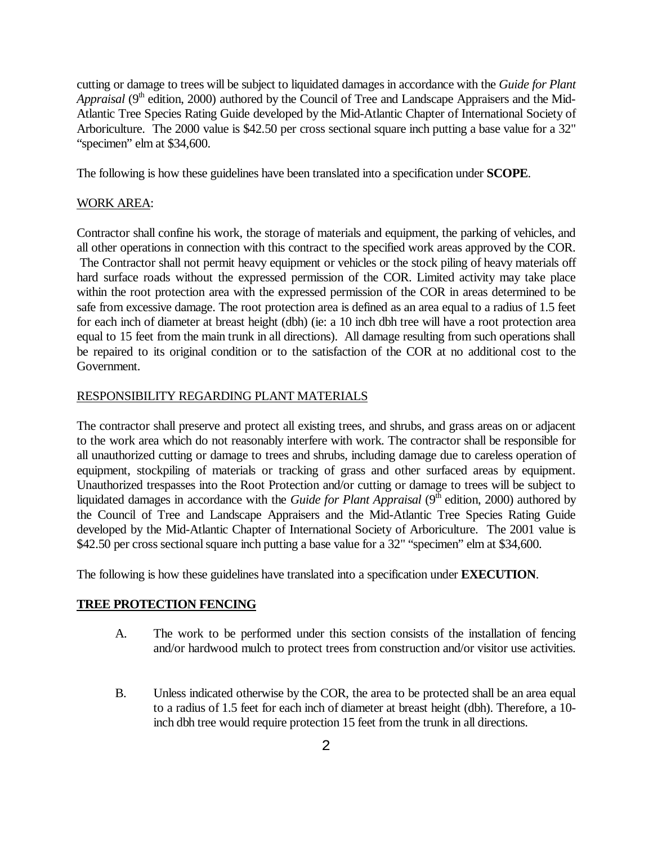cutting or damage to trees will be subject to liquidated damages in accordance with the *Guide for Plant Appraisal* (9<sup>th</sup> edition, 2000) authored by the Council of Tree and Landscape Appraisers and the Mid-Atlantic Tree Species Rating Guide developed by the Mid-Atlantic Chapter of International Society of Arboriculture. The 2000 value is \$42.50 per cross sectional square inch putting a base value for a 32" "specimen" elm at \$34,600.

The following is how these guidelines have been translated into a specification under **SCOPE**.

### WORK AREA:

Contractor shall confine his work, the storage of materials and equipment, the parking of vehicles, and all other operations in connection with this contract to the specified work areas approved by the COR. The Contractor shall not permit heavy equipment or vehicles or the stock piling of heavy materials off hard surface roads without the expressed permission of the COR. Limited activity may take place within the root protection area with the expressed permission of the COR in areas determined to be safe from excessive damage. The root protection area is defined as an area equal to a radius of 1.5 feet for each inch of diameter at breast height (dbh) (ie: a 10 inch dbh tree will have a root protection area equal to 15 feet from the main trunk in all directions). All damage resulting from such operations shall be repaired to its original condition or to the satisfaction of the COR at no additional cost to the Government.

### RESPONSIBILITY REGARDING PLANT MATERIALS

The contractor shall preserve and protect all existing trees, and shrubs, and grass areas on or adjacent to the work area which do not reasonably interfere with work. The contractor shall be responsible for all unauthorized cutting or damage to trees and shrubs, including damage due to careless operation of equipment, stockpiling of materials or tracking of grass and other surfaced areas by equipment. Unauthorized trespasses into the Root Protection and/or cutting or damage to trees will be subject to liquidated damages in accordance with the *Guide for Plant Appraisal* (9<sup>th</sup> edition, 2000) authored by the Council of Tree and Landscape Appraisers and the Mid-Atlantic Tree Species Rating Guide developed by the Mid-Atlantic Chapter of International Society of Arboriculture. The 2001 value is \$42.50 per cross sectional square inch putting a base value for a 32" "specimen" elm at \$34,600.

The following is how these guidelines have translated into a specification under **EXECUTION**.

### **TREE PROTECTION FENCING**

- A. The work to be performed under this section consists of the installation of fencing and/or hardwood mulch to protect trees from construction and/or visitor use activities.
- B. Unless indicated otherwise by the COR, the area to be protected shall be an area equal to a radius of 1.5 feet for each inch of diameter at breast height (dbh). Therefore, a 10 inch dbh tree would require protection 15 feet from the trunk in all directions.